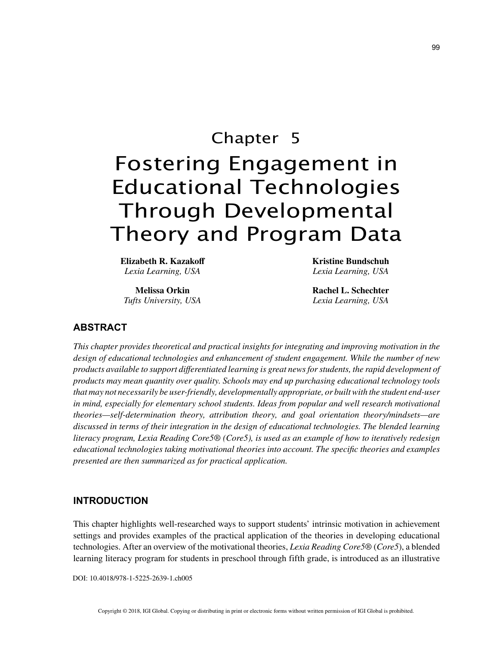# Chapter 5 Fostering Engagement in Educational Technologies Through Developmental Theory and Program Data

**Elizabeth R. Kazakoff** *Lexia Learning, USA*

**Melissa Orkin** *Tufts University, USA* **Kristine Bundschuh** *Lexia Learning, USA*

**Rachel L. Schechter** *Lexia Learning, USA*

# **ABSTRACT**

*This chapter provides theoretical and practical insights for integrating and improving motivation in the design of educational technologies and enhancement of student engagement. While the number of new products available to support differentiated learning is great news for students, the rapid development of products may mean quantity over quality. Schools may end up purchasing educational technology tools that may not necessarily be user-friendly, developmentally appropriate, or built with the student end-user in mind, especially for elementary school students. Ideas from popular and well research motivational theories—self-determination theory, attribution theory, and goal orientation theory/mindsets—are discussed in terms of their integration in the design of educational technologies. The blended learning literacy program, Lexia Reading Core5® (Core5), is used as an example of how to iteratively redesign educational technologies taking motivational theories into account. The specific theories and examples presented are then summarized as for practical application.*

# **INTRODUCTION**

This chapter highlights well-researched ways to support students' intrinsic motivation in achievement settings and provides examples of the practical application of the theories in developing educational technologies. After an overview of the motivational theories, *Lexia Reading Core5®* (*Core5*), a blended learning literacy program for students in preschool through fifth grade, is introduced as an illustrative

DOI: 10.4018/978-1-5225-2639-1.ch005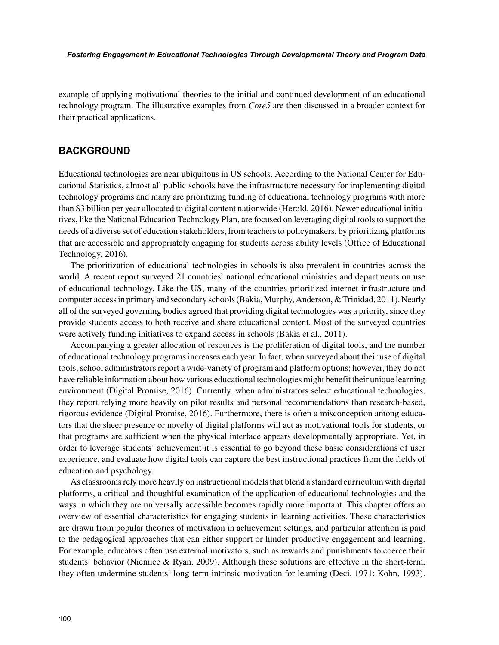*Fostering Engagement in Educational Technologies Through Developmental Theory and Program Data*

example of applying motivational theories to the initial and continued development of an educational technology program. The illustrative examples from *Core5* are then discussed in a broader context for their practical applications.

# **BACKGROUND**

Educational technologies are near ubiquitous in US schools. According to the National Center for Educational Statistics, almost all public schools have the infrastructure necessary for implementing digital technology programs and many are prioritizing funding of educational technology programs with more than \$3 billion per year allocated to digital content nationwide (Herold, 2016). Newer educational initiatives, like the National Education Technology Plan, are focused on leveraging digital tools to support the needs of a diverse set of education stakeholders, from teachers to policymakers, by prioritizing platforms that are accessible and appropriately engaging for students across ability levels (Office of Educational Technology, 2016).

The prioritization of educational technologies in schools is also prevalent in countries across the world. A recent report surveyed 21 countries' national educational ministries and departments on use of educational technology. Like the US, many of the countries prioritized internet infrastructure and computer access in primary and secondary schools (Bakia, Murphy, Anderson, & Trinidad, 2011). Nearly all of the surveyed governing bodies agreed that providing digital technologies was a priority, since they provide students access to both receive and share educational content. Most of the surveyed countries were actively funding initiatives to expand access in schools (Bakia et al., 2011).

Accompanying a greater allocation of resources is the proliferation of digital tools, and the number of educational technology programs increases each year. In fact, when surveyed about their use of digital tools, school administrators report a wide-variety of program and platform options; however, they do not have reliable information about how various educational technologies might benefit their unique learning environment (Digital Promise, 2016). Currently, when administrators select educational technologies, they report relying more heavily on pilot results and personal recommendations than research-based, rigorous evidence (Digital Promise, 2016). Furthermore, there is often a misconception among educators that the sheer presence or novelty of digital platforms will act as motivational tools for students, or that programs are sufficient when the physical interface appears developmentally appropriate. Yet, in order to leverage students' achievement it is essential to go beyond these basic considerations of user experience, and evaluate how digital tools can capture the best instructional practices from the fields of education and psychology.

As classrooms rely more heavily on instructional models that blend a standard curriculum with digital platforms, a critical and thoughtful examination of the application of educational technologies and the ways in which they are universally accessible becomes rapidly more important. This chapter offers an overview of essential characteristics for engaging students in learning activities. These characteristics are drawn from popular theories of motivation in achievement settings, and particular attention is paid to the pedagogical approaches that can either support or hinder productive engagement and learning. For example, educators often use external motivators, such as rewards and punishments to coerce their students' behavior (Niemiec & Ryan, 2009). Although these solutions are effective in the short-term, they often undermine students' long-term intrinsic motivation for learning (Deci, 1971; Kohn, 1993).